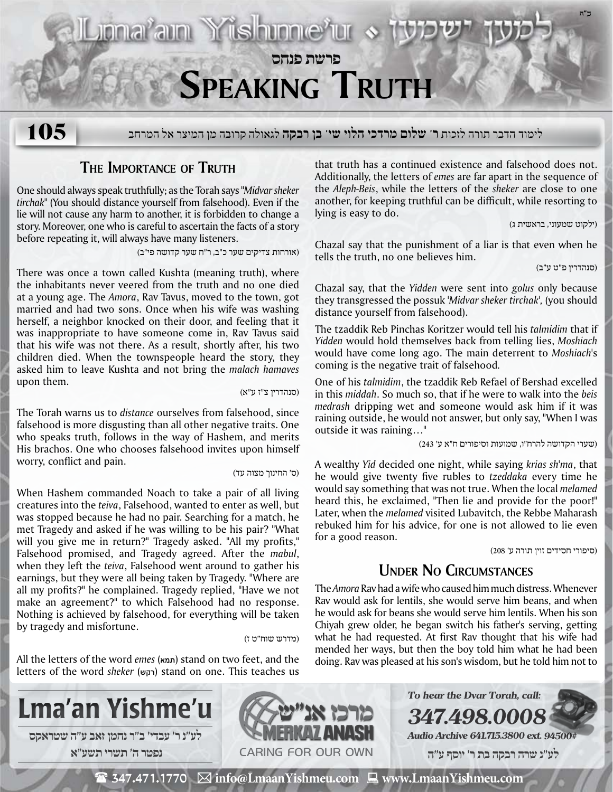

## **The Importance of Truth**

One should always speak truthfully; as the Torah says *"Midvarsheker tirchak"* (You should distance yourself from falsehood). Even if the lie will not cause any harm to another, it is forbidden to change a story. Moreover, one who is careful to ascertain the facts of a story before repeating it, will always have many listeners.

(אורחות צדיקים שער כ"ב, ר"ח שער קדושה פי״ב)

There was once a town called Kushta (meaning truth), where the inhabitants never veered from the truth and no one died at a young age. The *Amora*, Rav Tavus, moved to the town, got married and had two sons. Once when his wife was washing herself, a neighbor knocked on their door, and feeling that it was inappropriate to have someone come in, Rav Tavus said that his wife was not there. As a result, shortly after, his two children died. When the townspeople heard the story, they asked him to leave Kushta and not bring the *malach hamaves* upon them.

(סנהדרין צ"ז ע"א)

The Torah warns us to *distance* ourselves from falsehood, since falsehood is more disgusting than all other negative traits. One who speaks truth, follows in the way of Hashem, and merits His brachos. One who chooses falsehood invites upon himself worry, conflict and pain.

(ס' החינוך מצוה עד)

When Hashem commanded Noach to take a pair of all living creatures into the *teiva*, Falsehood, wanted to enter as well, but was stopped because he had no pair. Searching for a match, he met Tragedy and asked if he was willing to be his pair? "What will you give me in return?" Tragedy asked. "All my profits," Falsehood promised, and Tragedy agreed. After the *mabul*, when they left the *teiva*, Falsehood went around to gather his earnings, but they were all being taken by Tragedy. "Where are all my profits?" he complained. Tragedy replied, "Have we not make an agreement?" to which Falsehood had no response. Nothing is achieved by falsehood, for everything will be taken by tragedy and misfortune.

(מדרש שוח"ט ז)

All the letters of the word *emes* (תמא (stand on two feet, and the letters of the word *sheker* (רקש) stand on one. This teaches us that truth has a continued existence and falsehood does not. Additionally, the letters of *emes* are far apart in the sequence of the *Aleph-Beis*, while the letters of the *sheker* are close to one another, for keeping truthful can be difficult, while resorting to lying is easy to do.

(ילקוט שמעוני, בראשית ג)

Chazal say that the punishment of a liar is that even when he tells the truth, no one believes him.

(סנהדרין פ"ט ע"ב)

Chazal say, that the *Yidden* were sent into *golus* only because they transgressed the possuk *'Midvar sheker tirchak',* (you should distance yourself from falsehood).

The tzaddik Reb Pinchas Koritzer would tell his *talmidim* that if *Yidden* would hold themselves back from telling lies, *Moshiach* would have come long ago. The main deterrent to *Moshiach*'s coming is the negative trait of falsehood*.*

One of his *talmidim*, the tzaddik Reb Refael of Bershad excelled in this *middah*. So much so, that if he were to walk into the *beis medrash* dripping wet and someone would ask him if it was raining outside, he would not answer, but only say, "When I was outside it was raining…"

(שערי הקדושה להרח"ו, שמועות וסיפורים ח"א ע' 243)

A wealthy *Yid* decided one night, while saying *krias sh'ma*, that he would give twenty five rubles to *tzeddaka* every time he would say something that was not true. When the local *melamed* heard this, he exclaimed, "Then lie and provide for the poor!" Later, when the *melamed* visited Lubavitch, the Rebbe Maharash rebuked him for his advice, for one is not allowed to lie even for a good reason.

(סיפורי חסידים זוין תורה ע' 208)

## **Under No Circumstances**

The *Amora* Rav had a wife who caused him much distress. Whenever Rav would ask for lentils, she would serve him beans, and when he would ask for beans she would serve him lentils. When his son Chiyah grew older, he began switch his father's serving, getting what he had requested. At first Rav thought that his wife had mended her ways, but then the boy told him what he had been doing. Rav was pleased at his son's wisdom, but he told him not to